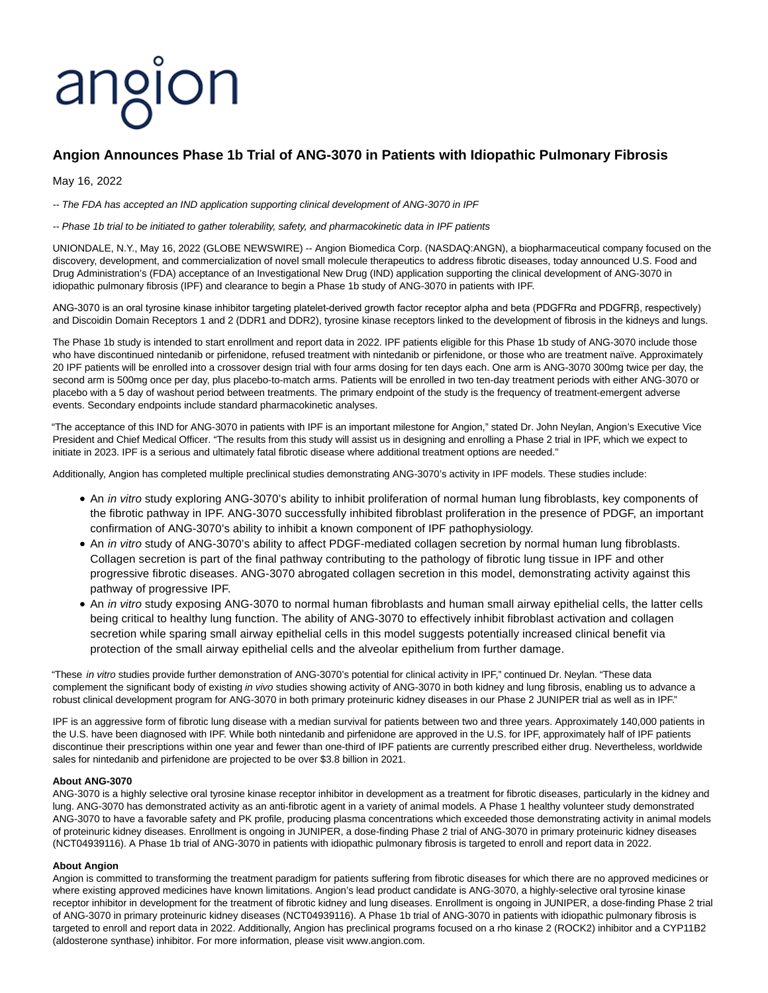# angion

# **Angion Announces Phase 1b Trial of ANG-3070 in Patients with Idiopathic Pulmonary Fibrosis**

## May 16, 2022

-- The FDA has accepted an IND application supporting clinical development of ANG-3070 in IPF

-- Phase 1b trial to be initiated to gather tolerability, safety, and pharmacokinetic data in IPF patients

UNIONDALE, N.Y., May 16, 2022 (GLOBE NEWSWIRE) -- Angion Biomedica Corp. (NASDAQ:ANGN), a biopharmaceutical company focused on the discovery, development, and commercialization of novel small molecule therapeutics to address fibrotic diseases, today announced U.S. Food and Drug Administration's (FDA) acceptance of an Investigational New Drug (IND) application supporting the clinical development of ANG-3070 in idiopathic pulmonary fibrosis (IPF) and clearance to begin a Phase 1b study of ANG-3070 in patients with IPF.

ANG-3070 is an oral tyrosine kinase inhibitor targeting platelet-derived growth factor receptor alpha and beta (PDGFRα and PDGFRβ, respectively) and Discoidin Domain Receptors 1 and 2 (DDR1 and DDR2), tyrosine kinase receptors linked to the development of fibrosis in the kidneys and lungs.

The Phase 1b study is intended to start enrollment and report data in 2022. IPF patients eligible for this Phase 1b study of ANG-3070 include those who have discontinued nintedanib or pirfenidone, refused treatment with nintedanib or pirfenidone, or those who are treatment naïve. Approximately 20 IPF patients will be enrolled into a crossover design trial with four arms dosing for ten days each. One arm is ANG-3070 300mg twice per day, the second arm is 500mg once per day, plus placebo-to-match arms. Patients will be enrolled in two ten-day treatment periods with either ANG-3070 or placebo with a 5 day of washout period between treatments. The primary endpoint of the study is the frequency of treatment-emergent adverse events. Secondary endpoints include standard pharmacokinetic analyses.

"The acceptance of this IND for ANG-3070 in patients with IPF is an important milestone for Angion," stated Dr. John Neylan, Angion's Executive Vice President and Chief Medical Officer. "The results from this study will assist us in designing and enrolling a Phase 2 trial in IPF, which we expect to initiate in 2023. IPF is a serious and ultimately fatal fibrotic disease where additional treatment options are needed."

Additionally, Angion has completed multiple preclinical studies demonstrating ANG-3070's activity in IPF models. These studies include:

- An in vitro study exploring ANG-3070's ability to inhibit proliferation of normal human lung fibroblasts, key components of the fibrotic pathway in IPF. ANG-3070 successfully inhibited fibroblast proliferation in the presence of PDGF, an important confirmation of ANG-3070's ability to inhibit a known component of IPF pathophysiology.
- An in vitro study of ANG-3070's ability to affect PDGF-mediated collagen secretion by normal human lung fibroblasts. Collagen secretion is part of the final pathway contributing to the pathology of fibrotic lung tissue in IPF and other progressive fibrotic diseases. ANG-3070 abrogated collagen secretion in this model, demonstrating activity against this pathway of progressive IPF.
- An in vitro study exposing ANG-3070 to normal human fibroblasts and human small airway epithelial cells, the latter cells being critical to healthy lung function. The ability of ANG-3070 to effectively inhibit fibroblast activation and collagen secretion while sparing small airway epithelial cells in this model suggests potentially increased clinical benefit via protection of the small airway epithelial cells and the alveolar epithelium from further damage.

"These in vitro studies provide further demonstration of ANG-3070's potential for clinical activity in IPF," continued Dr. Neylan. "These data complement the significant body of existing in vivo studies showing activity of ANG-3070 in both kidney and lung fibrosis, enabling us to advance a robust clinical development program for ANG-3070 in both primary proteinuric kidney diseases in our Phase 2 JUNIPER trial as well as in IPF."

IPF is an aggressive form of fibrotic lung disease with a median survival for patients between two and three years. Approximately 140,000 patients in the U.S. have been diagnosed with IPF. While both nintedanib and pirfenidone are approved in the U.S. for IPF, approximately half of IPF patients discontinue their prescriptions within one year and fewer than one-third of IPF patients are currently prescribed either drug. Nevertheless, worldwide sales for nintedanib and pirfenidone are projected to be over \$3.8 billion in 2021.

### **About ANG-3070**

ANG-3070 is a highly selective oral tyrosine kinase receptor inhibitor in development as a treatment for fibrotic diseases, particularly in the kidney and lung. ANG-3070 has demonstrated activity as an anti-fibrotic agent in a variety of animal models. A Phase 1 healthy volunteer study demonstrated ANG-3070 to have a favorable safety and PK profile, producing plasma concentrations which exceeded those demonstrating activity in animal models of proteinuric kidney diseases. Enrollment is ongoing in JUNIPER, a dose-finding Phase 2 trial of ANG-3070 in primary proteinuric kidney diseases (NCT04939116). A Phase 1b trial of ANG-3070 in patients with idiopathic pulmonary fibrosis is targeted to enroll and report data in 2022.

### **About Angion**

Angion is committed to transforming the treatment paradigm for patients suffering from fibrotic diseases for which there are no approved medicines or where existing approved medicines have known limitations. Angion's lead product candidate is ANG-3070, a highly-selective oral tyrosine kinase receptor inhibitor in development for the treatment of fibrotic kidney and lung diseases. Enrollment is ongoing in JUNIPER, a dose-finding Phase 2 trial of ANG-3070 in primary proteinuric kidney diseases (NCT04939116). A Phase 1b trial of ANG-3070 in patients with idiopathic pulmonary fibrosis is targeted to enroll and report data in 2022. Additionally, Angion has preclinical programs focused on a rho kinase 2 (ROCK2) inhibitor and a CYP11B2 (aldosterone synthase) inhibitor. For more information, please visit www.angion.com.